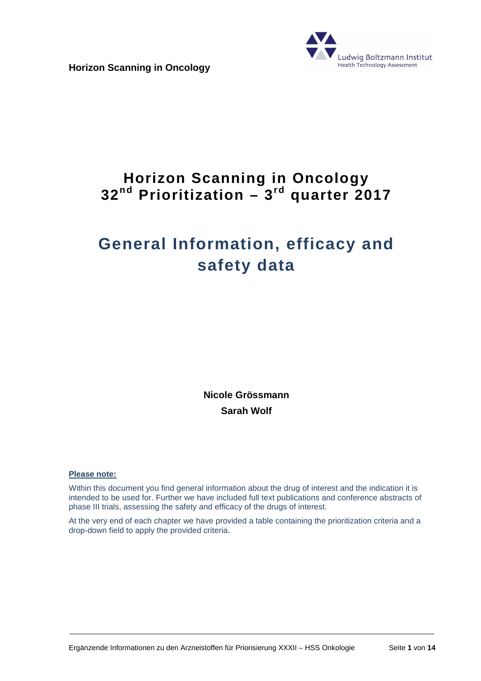**Horizon Scanning in Oncology**



# **Horizon Scanning in Oncology 32nd Prioritization – 3rd quarter 2017**

# **General Information, efficacy and safety data**

**Nicole Grössmann Sarah Wolf** 

#### **Please note:**

Within this document you find general information about the drug of interest and the indication it is intended to be used for. Further we have included full text publications and conference abstracts of phase III trials, assessing the safety and efficacy of the drugs of interest.

At the very end of each chapter we have provided a table containing the prioritization criteria and a drop-down field to apply the provided criteria.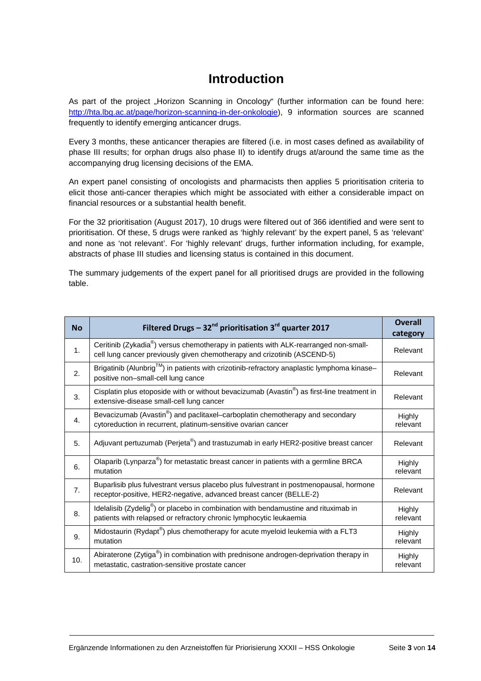# **Introduction**

As part of the project "Horizon Scanning in Oncology" (further information can be found here: http://hta.lbg.ac.at/page/horizon-scanning-in-der-onkologie), 9 information sources are scanned frequently to identify emerging anticancer drugs.

Every 3 months, these anticancer therapies are filtered (i.e. in most cases defined as availability of phase III results; for orphan drugs also phase II) to identify drugs at/around the same time as the accompanying drug licensing decisions of the EMA.

An expert panel consisting of oncologists and pharmacists then applies 5 prioritisation criteria to elicit those anti-cancer therapies which might be associated with either a considerable impact on financial resources or a substantial health benefit.

For the 32 prioritisation (August 2017), 10 drugs were filtered out of 366 identified and were sent to prioritisation. Of these, 5 drugs were ranked as 'highly relevant' by the expert panel, 5 as 'relevant' and none as 'not relevant'. For 'highly relevant' drugs, further information including, for example, abstracts of phase III studies and licensing status is contained in this document.

The summary judgements of the expert panel for all prioritised drugs are provided in the following table.

| <b>No</b>      | Filtered Drugs - $32^{nd}$ prioritisation $3^{rd}$ quarter 2017                                                                                                              | <b>Overall</b><br>category |
|----------------|------------------------------------------------------------------------------------------------------------------------------------------------------------------------------|----------------------------|
| 1.             | Ceritinib (Zykadia <sup>®</sup> ) versus chemotherapy in patients with ALK-rearranged non-small-<br>cell lung cancer previously given chemotherapy and crizotinib (ASCEND-5) | Relevant                   |
| 2.             | Brigatinib (Alunbrig™) in patients with crizotinib-refractory anaplastic lymphoma kinase-<br>positive non-small-cell lung cance                                              | Relevant                   |
| 3.             | Cisplatin plus etoposide with or without bevacizumab (Avastin <sup>®</sup> ) as first-line treatment in<br>extensive-disease small-cell lung cancer                          | Relevant                   |
| $\mathbf{4}$ . | Bevacizumab (Avastin <sup>®</sup> ) and paclitaxel–carboplatin chemotherapy and secondary<br>cytoreduction in recurrent, platinum-sensitive ovarian cancer                   | Highly<br>relevant         |
| 5.             | Adjuvant pertuzumab (Perjeta®) and trastuzumab in early HER2-positive breast cancer                                                                                          | Relevant                   |
| 6.             | Olaparib (Lynparza®) for metastatic breast cancer in patients with a germline BRCA<br>mutation                                                                               | Highly<br>relevant         |
| 7 <sub>1</sub> | Buparlisib plus fulvestrant versus placebo plus fulvestrant in postmenopausal, hormone<br>receptor-positive, HER2-negative, advanced breast cancer (BELLE-2)                 | Relevant                   |
| 8.             | Idelalisib (Zydelig <sup>®</sup> ) or placebo in combination with bendamustine and rituximab in<br>patients with relapsed or refractory chronic lymphocytic leukaemia        | Highly<br>relevant         |
| 9.             | Midostaurin (Rydapt®) plus chemotherapy for acute myeloid leukemia with a FLT3<br>mutation                                                                                   | Highly<br>relevant         |
| 10.            | Abiraterone (Zytiga <sup>®</sup> ) in combination with prednisone androgen-deprivation therapy in<br>metastatic, castration-sensitive prostate cancer                        | Highly<br>relevant         |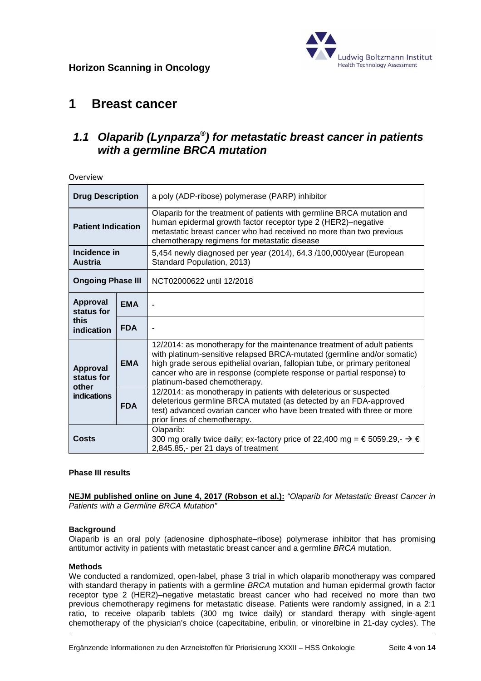

## **1 Breast cancer**

 $O<sub>var</sub>$ iew

### **1.1 Olaparib (Lynparza® ) for metastatic breast cancer in patients with a germline BRCA mutation**

| <b>Drug Description</b>         |            | a poly (ADP-ribose) polymerase (PARP) inhibitor                                                                                                                                                                                                                                                                                            |
|---------------------------------|------------|--------------------------------------------------------------------------------------------------------------------------------------------------------------------------------------------------------------------------------------------------------------------------------------------------------------------------------------------|
| <b>Patient Indication</b>       |            | Olaparib for the treatment of patients with germline BRCA mutation and<br>human epidermal growth factor receptor type 2 (HER2)-negative<br>metastatic breast cancer who had received no more than two previous<br>chemotherapy regimens for metastatic disease                                                                             |
| Incidence in<br><b>Austria</b>  |            | 5,454 newly diagnosed per year (2014), 64.3 /100,000/year (European<br>Standard Population, 2013)                                                                                                                                                                                                                                          |
| <b>Ongoing Phase III</b>        |            | NCT02000622 until 12/2018                                                                                                                                                                                                                                                                                                                  |
| Approval<br>status for          | <b>EMA</b> |                                                                                                                                                                                                                                                                                                                                            |
| this<br>indication              | <b>FDA</b> |                                                                                                                                                                                                                                                                                                                                            |
| Approval<br>status for<br>other | <b>EMA</b> | 12/2014: as monotherapy for the maintenance treatment of adult patients<br>with platinum-sensitive relapsed BRCA-mutated (germline and/or somatic)<br>high grade serous epithelial ovarian, fallopian tube, or primary peritoneal<br>cancer who are in response (complete response or partial response) to<br>platinum-based chemotherapy. |
| indications                     | <b>FDA</b> | 12/2014: as monotherapy in patients with deleterious or suspected<br>deleterious germline BRCA mutated (as detected by an FDA-approved<br>test) advanced ovarian cancer who have been treated with three or more<br>prior lines of chemotherapy.                                                                                           |
| Costs                           |            | Olaparib:<br>300 mg orally twice daily; ex-factory price of 22,400 mg = € 5059.29,- $\rightarrow \epsilon$<br>2,845.85,- per 21 days of treatment                                                                                                                                                                                          |

#### **Phase III results**

**NEJM published online on June 4, 2017 (Robson et al.):** "Olaparib for Metastatic Breast Cancer in Patients with a Germline BRCA Mutation"

#### **Background**

Olaparib is an oral poly (adenosine diphosphate–ribose) polymerase inhibitor that has promising antitumor activity in patients with metastatic breast cancer and a germline BRCA mutation.

#### **Methods**

We conducted a randomized, open-label, phase 3 trial in which olaparib monotherapy was compared with standard therapy in patients with a germline BRCA mutation and human epidermal growth factor receptor type 2 (HER2)–negative metastatic breast cancer who had received no more than two previous chemotherapy regimens for metastatic disease. Patients were randomly assigned, in a 2:1 ratio, to receive olaparib tablets (300 mg twice daily) or standard therapy with single-agent chemotherapy of the physician's choice (capecitabine, eribulin, or vinorelbine in 21-day cycles). The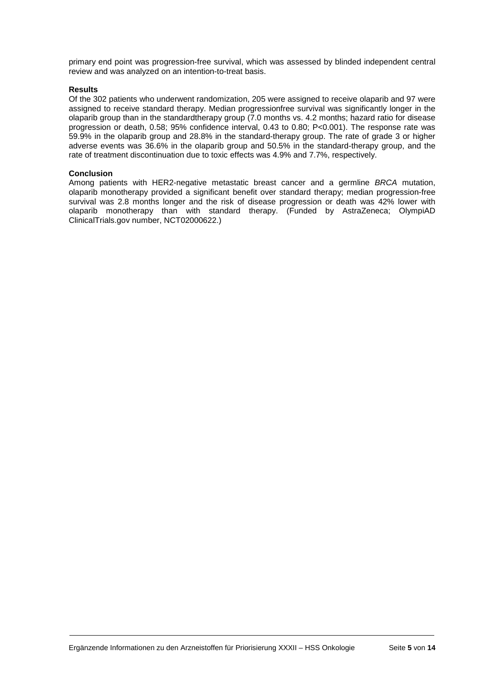primary end point was progression-free survival, which was assessed by blinded independent central review and was analyzed on an intention-to-treat basis.

#### **Results**

Of the 302 patients who underwent randomization, 205 were assigned to receive olaparib and 97 were assigned to receive standard therapy. Median progressionfree survival was significantly longer in the olaparib group than in the standardtherapy group (7.0 months vs. 4.2 months; hazard ratio for disease progression or death, 0.58; 95% confidence interval, 0.43 to 0.80; P<0.001). The response rate was 59.9% in the olaparib group and 28.8% in the standard-therapy group. The rate of grade 3 or higher adverse events was 36.6% in the olaparib group and 50.5% in the standard-therapy group, and the rate of treatment discontinuation due to toxic effects was 4.9% and 7.7%, respectively.

#### **Conclusion**

Among patients with HER2-negative metastatic breast cancer and a germline BRCA mutation, olaparib monotherapy provided a significant benefit over standard therapy; median progression-free survival was 2.8 months longer and the risk of disease progression or death was 42% lower with olaparib monotherapy than with standard therapy. (Funded by AstraZeneca; OlympiAD ClinicalTrials.gov number, NCT02000622.)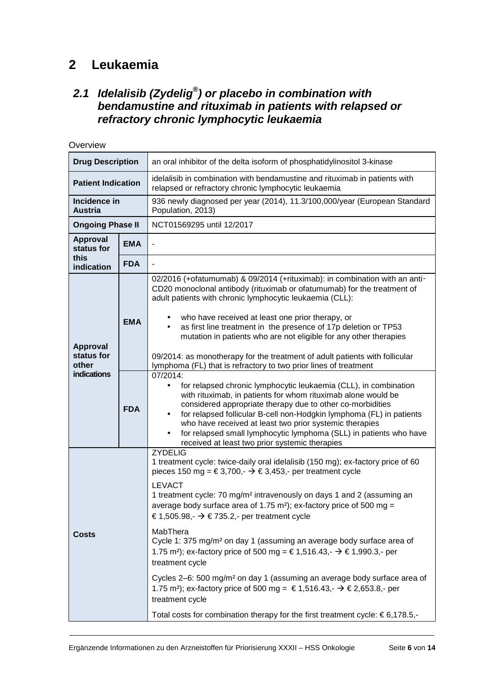# **2 Leukaemia**

### **2.1 Idelalisib (Zydelig® ) or placebo in combination with bendamustine and rituximab in patients with relapsed or refractory chronic lymphocytic leukaemia**

| Overview                                              |                          |                                                                                                                                                                                                                                                                                                                                                                                                                                                                                                                                                                                                                                                                                                                                                                                                                                                                                                                                                                                                                                                                                   |  |
|-------------------------------------------------------|--------------------------|-----------------------------------------------------------------------------------------------------------------------------------------------------------------------------------------------------------------------------------------------------------------------------------------------------------------------------------------------------------------------------------------------------------------------------------------------------------------------------------------------------------------------------------------------------------------------------------------------------------------------------------------------------------------------------------------------------------------------------------------------------------------------------------------------------------------------------------------------------------------------------------------------------------------------------------------------------------------------------------------------------------------------------------------------------------------------------------|--|
| <b>Drug Description</b>                               |                          | an oral inhibitor of the delta isoform of phosphatidylinositol 3-kinase                                                                                                                                                                                                                                                                                                                                                                                                                                                                                                                                                                                                                                                                                                                                                                                                                                                                                                                                                                                                           |  |
| <b>Patient Indication</b>                             |                          | idelalisib in combination with bendamustine and rituximab in patients with<br>relapsed or refractory chronic lymphocytic leukaemia                                                                                                                                                                                                                                                                                                                                                                                                                                                                                                                                                                                                                                                                                                                                                                                                                                                                                                                                                |  |
| Incidence in<br><b>Austria</b>                        |                          | 936 newly diagnosed per year (2014), 11.3/100,000/year (European Standard<br>Population, 2013)                                                                                                                                                                                                                                                                                                                                                                                                                                                                                                                                                                                                                                                                                                                                                                                                                                                                                                                                                                                    |  |
| <b>Ongoing Phase II</b>                               |                          | NCT01569295 until 12/2017                                                                                                                                                                                                                                                                                                                                                                                                                                                                                                                                                                                                                                                                                                                                                                                                                                                                                                                                                                                                                                                         |  |
| Approval<br>status for                                | <b>EMA</b>               |                                                                                                                                                                                                                                                                                                                                                                                                                                                                                                                                                                                                                                                                                                                                                                                                                                                                                                                                                                                                                                                                                   |  |
| this<br>indication                                    | <b>FDA</b>               |                                                                                                                                                                                                                                                                                                                                                                                                                                                                                                                                                                                                                                                                                                                                                                                                                                                                                                                                                                                                                                                                                   |  |
| Approval<br>status for<br>other<br><b>indications</b> | <b>EMA</b><br><b>FDA</b> | 02/2016 (+ofatumumab) & 09/2014 (+rituximab): in combination with an anti-<br>CD20 monoclonal antibody (rituximab or ofatumumab) for the treatment of<br>adult patients with chronic lymphocytic leukaemia (CLL):<br>who have received at least one prior therapy, or<br>as first line treatment in the presence of 17p deletion or TP53<br>mutation in patients who are not eligible for any other therapies<br>09/2014: as monotherapy for the treatment of adult patients with follicular<br>lymphoma (FL) that is refractory to two prior lines of treatment<br>07/2014:<br>for relapsed chronic lymphocytic leukaemia (CLL), in combination<br>$\bullet$<br>with rituximab, in patients for whom rituximab alone would be<br>considered appropriate therapy due to other co-morbidities<br>for relapsed follicular B-cell non-Hodgkin lymphoma (FL) in patients<br>$\bullet$<br>who have received at least two prior systemic therapies<br>for relapsed small lymphocytic lymphoma (SLL) in patients who have<br>$\bullet$<br>received at least two prior systemic therapies |  |
| <b>Costs</b>                                          |                          | <b>ZYDELIG</b><br>1 treatment cycle: twice-daily oral idelalisib (150 mg); ex-factory price of 60<br>pieces 150 mg = € 3,700, - $\rightarrow$ € 3,453, - per treatment cycle<br><b>LEVACT</b><br>1 treatment cycle: 70 mg/m <sup>2</sup> intravenously on days 1 and 2 (assuming an<br>average body surface area of 1.75 m <sup>2</sup> ); ex-factory price of 500 mg =<br>€ 1,505.98, $\rightarrow$ € 735.2, - per treatment cycle<br>MabThera<br>Cycle 1: 375 mg/m <sup>2</sup> on day 1 (assuming an average body surface area of<br>1.75 m <sup>2</sup> ); ex-factory price of 500 mg = € 1,516.43, - $\rightarrow$ € 1,990.3, - per<br>treatment cycle<br>Cycles 2-6: 500 mg/m <sup>2</sup> on day 1 (assuming an average body surface area of<br>1.75 m <sup>2</sup> ); ex-factory price of 500 mg = € 1,516.43, $\rightarrow$ € 2,653.8, - per<br>treatment cycle<br>Total costs for combination therapy for the first treatment cycle: $\epsilon$ 6,178.5,-                                                                                                               |  |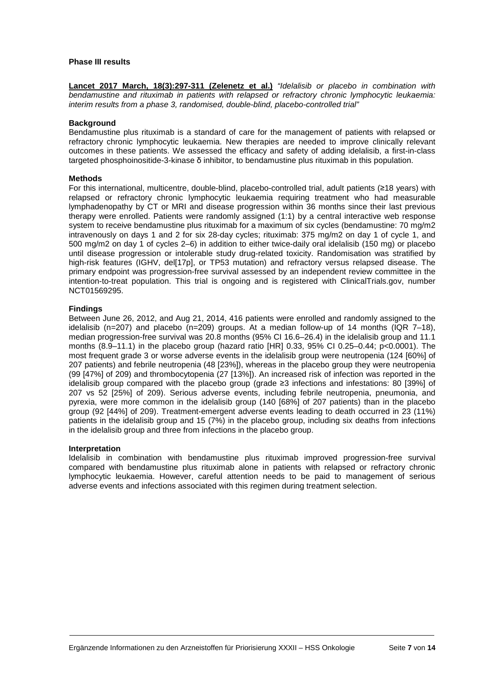#### **Phase III results**

Lancet 2017 March, 18(3):297-311 (Zelenetz et al.) "Idelalisib or placebo in combination with bendamustine and rituximab in patients with relapsed or refractory chronic lymphocytic leukaemia: interim results from a phase 3, randomised, double-blind, placebo-controlled trial"

#### **Background**

Bendamustine plus rituximab is a standard of care for the management of patients with relapsed or refractory chronic lymphocytic leukaemia. New therapies are needed to improve clinically relevant outcomes in these patients. We assessed the efficacy and safety of adding idelalisib, a first-in-class targeted phosphoinositide-3-kinase δ inhibitor, to bendamustine plus rituximab in this population.

#### **Methods**

For this international, multicentre, double-blind, placebo-controlled trial, adult patients (≥18 years) with relapsed or refractory chronic lymphocytic leukaemia requiring treatment who had measurable lymphadenopathy by CT or MRI and disease progression within 36 months since their last previous therapy were enrolled. Patients were randomly assigned (1:1) by a central interactive web response system to receive bendamustine plus rituximab for a maximum of six cycles (bendamustine: 70 mg/m2 intravenously on days 1 and 2 for six 28-day cycles; rituximab: 375 mg/m2 on day 1 of cycle 1, and 500 mg/m2 on day 1 of cycles 2–6) in addition to either twice-daily oral idelalisib (150 mg) or placebo until disease progression or intolerable study drug-related toxicity. Randomisation was stratified by high-risk features (IGHV, del[17p], or TP53 mutation) and refractory versus relapsed disease. The primary endpoint was progression-free survival assessed by an independent review committee in the intention-to-treat population. This trial is ongoing and is registered with ClinicalTrials.gov, number NCT01569295.

#### **Findings**

Between June 26, 2012, and Aug 21, 2014, 416 patients were enrolled and randomly assigned to the idelalisib (n=207) and placebo (n=209) groups. At a median follow-up of 14 months (IQR 7–18), median progression-free survival was 20.8 months (95% CI 16.6–26.4) in the idelalisib group and 11.1 months (8.9–11.1) in the placebo group (hazard ratio [HR] 0.33, 95% CI 0.25–0.44; p<0.0001). The most frequent grade 3 or worse adverse events in the idelalisib group were neutropenia (124 [60%] of 207 patients) and febrile neutropenia (48 [23%]), whereas in the placebo group they were neutropenia (99 [47%] of 209) and thrombocytopenia (27 [13%]). An increased risk of infection was reported in the idelalisib group compared with the placebo group (grade ≥3 infections and infestations: 80 [39%] of 207 vs 52 [25%] of 209). Serious adverse events, including febrile neutropenia, pneumonia, and pyrexia, were more common in the idelalisib group (140 [68%] of 207 patients) than in the placebo group (92 [44%] of 209). Treatment-emergent adverse events leading to death occurred in 23 (11%) patients in the idelalisib group and 15 (7%) in the placebo group, including six deaths from infections in the idelalisib group and three from infections in the placebo group.

#### **Interpretation**

Idelalisib in combination with bendamustine plus rituximab improved progression-free survival compared with bendamustine plus rituximab alone in patients with relapsed or refractory chronic lymphocytic leukaemia. However, careful attention needs to be paid to management of serious adverse events and infections associated with this regimen during treatment selection.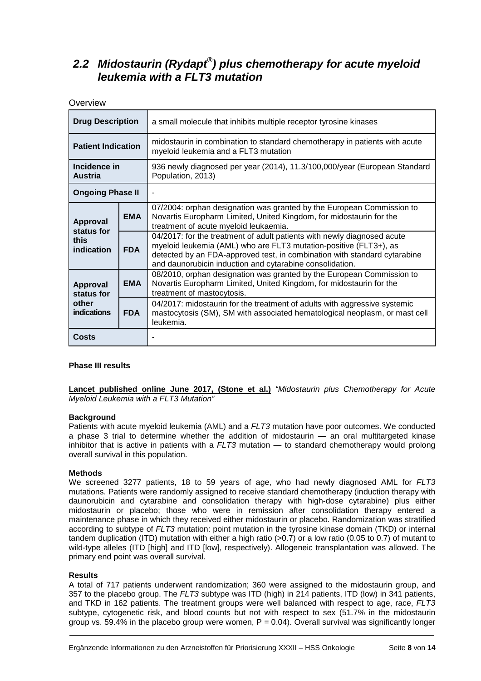### **2.2 Midostaurin (Rydapt® ) plus chemotherapy for acute myeloid leukemia with a FLT3 mutation**

**Overview** 

| <b>Drug Description</b>        |            | a small molecule that inhibits multiple receptor tyrosine kinases                                                                                                                                                                                                                     |
|--------------------------------|------------|---------------------------------------------------------------------------------------------------------------------------------------------------------------------------------------------------------------------------------------------------------------------------------------|
| <b>Patient Indication</b>      |            | midostaurin in combination to standard chemotherapy in patients with acute<br>myeloid leukemia and a FLT3 mutation                                                                                                                                                                    |
| Incidence in<br><b>Austria</b> |            | 936 newly diagnosed per year (2014), 11.3/100,000/year (European Standard<br>Population, 2013)                                                                                                                                                                                        |
| <b>Ongoing Phase II</b>        |            |                                                                                                                                                                                                                                                                                       |
| <b>Approval</b><br>status for  | <b>EMA</b> | 07/2004: orphan designation was granted by the European Commission to<br>Novartis Europharm Limited, United Kingdom, for midostaurin for the<br>treatment of acute myeloid leukaemia.                                                                                                 |
| this<br>indication             | <b>FDA</b> | 04/2017: for the treatment of adult patients with newly diagnosed acute<br>myeloid leukemia (AML) who are FLT3 mutation-positive (FLT3+), as<br>detected by an FDA-approved test, in combination with standard cytarabine<br>and daunorubicin induction and cytarabine consolidation. |
| <b>Approval</b><br>status for  | <b>EMA</b> | 08/2010, orphan designation was granted by the European Commission to<br>Novartis Europharm Limited, United Kingdom, for midostaurin for the<br>treatment of mastocytosis.                                                                                                            |
| other<br>indications           | <b>FDA</b> | 04/2017: midostaurin for the treatment of adults with aggressive systemic<br>mastocytosis (SM), SM with associated hematological neoplasm, or mast cell<br>leukemia.                                                                                                                  |
| <b>Costs</b>                   |            |                                                                                                                                                                                                                                                                                       |

#### **Phase III results**

**Lancet published online June 2017, (Stone et al.)** "Midostaurin plus Chemotherapy for Acute Myeloid Leukemia with a FLT3 Mutation"

#### **Background**

Patients with acute myeloid leukemia (AML) and a FLT3 mutation have poor outcomes. We conducted a phase 3 trial to determine whether the addition of midostaurin — an oral multitargeted kinase inhibitor that is active in patients with a  $FLT3$  mutation  $-$  to standard chemotherapy would prolong overall survival in this population.

#### **Methods**

We screened 3277 patients, 18 to 59 years of age, who had newly diagnosed AML for FLT3 mutations. Patients were randomly assigned to receive standard chemotherapy (induction therapy with daunorubicin and cytarabine and consolidation therapy with high-dose cytarabine) plus either midostaurin or placebo; those who were in remission after consolidation therapy entered a maintenance phase in which they received either midostaurin or placebo. Randomization was stratified according to subtype of FLT3 mutation: point mutation in the tyrosine kinase domain (TKD) or internal tandem duplication (ITD) mutation with either a high ratio (>0.7) or a low ratio (0.05 to 0.7) of mutant to wild-type alleles (ITD [high] and ITD [low], respectively). Allogeneic transplantation was allowed. The primary end point was overall survival.

#### **Results**

A total of 717 patients underwent randomization; 360 were assigned to the midostaurin group, and 357 to the placebo group. The FLT3 subtype was ITD (high) in 214 patients, ITD (low) in 341 patients, and TKD in 162 patients. The treatment groups were well balanced with respect to age, race, FLT3 subtype, cytogenetic risk, and blood counts but not with respect to sex (51.7% in the midostaurin group vs. 59.4% in the placebo group were women,  $P = 0.04$ ). Overall survival was significantly longer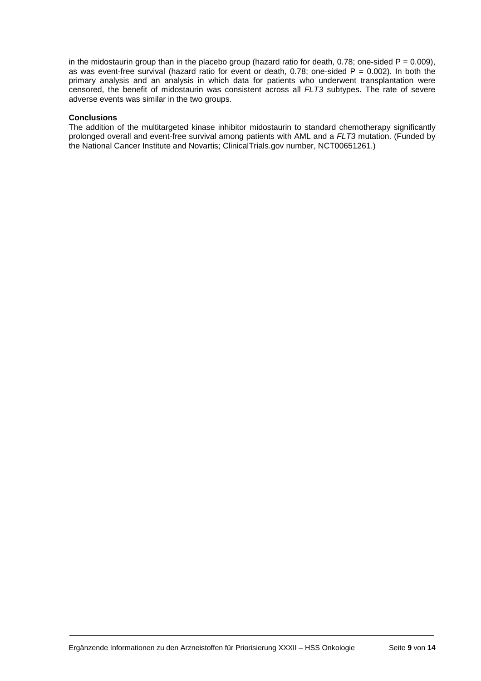in the midostaurin group than in the placebo group (hazard ratio for death, 0.78; one-sided  $P = 0.009$ ), as was event-free survival (hazard ratio for event or death, 0.78; one-sided  $P = 0.002$ ). In both the primary analysis and an analysis in which data for patients who underwent transplantation were censored, the benefit of midostaurin was consistent across all FLT3 subtypes. The rate of severe adverse events was similar in the two groups.

#### **Conclusions**

The addition of the multitargeted kinase inhibitor midostaurin to standard chemotherapy significantly prolonged overall and event-free survival among patients with AML and a FLT3 mutation. (Funded by the National Cancer Institute and Novartis; ClinicalTrials.gov number, NCT00651261.)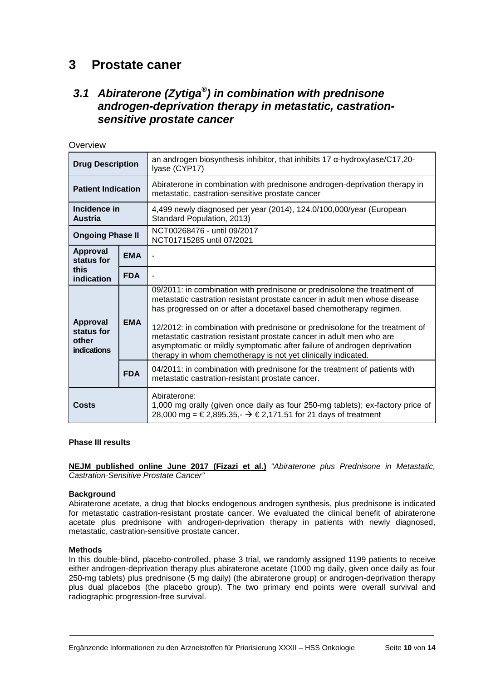## **3 Prostate caner**

 $O$ verview

### **3.1 Abiraterone (Zytiga® ) in combination with prednisone androgen-deprivation therapy in metastatic, castrationsensitive prostate cancer**

| ៴៴៴៲៴៲៴៴៴                                             |            |                                                                                                                                                                                                                                                                                                                                                                                                                                                                                                                                   |
|-------------------------------------------------------|------------|-----------------------------------------------------------------------------------------------------------------------------------------------------------------------------------------------------------------------------------------------------------------------------------------------------------------------------------------------------------------------------------------------------------------------------------------------------------------------------------------------------------------------------------|
| <b>Drug Description</b>                               |            | an androgen biosynthesis inhibitor, that inhibits $17$ $\alpha$ -hydroxylase/C17,20-<br>Iyase (CYP17)                                                                                                                                                                                                                                                                                                                                                                                                                             |
| <b>Patient Indication</b>                             |            | Abiraterone in combination with prednisone androgen-deprivation therapy in<br>metastatic, castration-sensitive prostate cancer                                                                                                                                                                                                                                                                                                                                                                                                    |
| Incidence in<br><b>Austria</b>                        |            | 4,499 newly diagnosed per year (2014), 124.0/100,000/year (European<br>Standard Population, 2013)                                                                                                                                                                                                                                                                                                                                                                                                                                 |
| <b>Ongoing Phase II</b>                               |            | NCT00268476 - until 09/2017<br>NCT01715285 until 07/2021                                                                                                                                                                                                                                                                                                                                                                                                                                                                          |
| <b>Approval</b><br>status for                         | <b>EMA</b> |                                                                                                                                                                                                                                                                                                                                                                                                                                                                                                                                   |
| this<br>indication                                    | <b>FDA</b> |                                                                                                                                                                                                                                                                                                                                                                                                                                                                                                                                   |
| <b>Approval</b><br>status for<br>other<br>indications | <b>EMA</b> | 09/2011: in combination with prednisone or prednisolone the treatment of<br>metastatic castration resistant prostate cancer in adult men whose disease<br>has progressed on or after a docetaxel based chemotherapy regimen.<br>12/2012: in combination with prednisone or prednisolone for the treatment of<br>metastatic castration resistant prostate cancer in adult men who are<br>asymptomatic or mildly symptomatic after failure of androgen deprivation<br>therapy in whom chemotherapy is not yet clinically indicated. |
|                                                       | <b>FDA</b> | 04/2011: in combination with prednisone for the treatment of patients with<br>metastatic castration-resistant prostate cancer.                                                                                                                                                                                                                                                                                                                                                                                                    |
| Costs                                                 |            | Abiraterone:<br>1,000 mg orally (given once daily as four 250-mg tablets); ex-factory price of<br>28,000 mg = € 2,895.35, - $\rightarrow$ € 2,171.51 for 21 days of treatment                                                                                                                                                                                                                                                                                                                                                     |

#### **Phase III results**

**NEJM published online June 2017 (Fizazi et al.)** "Abiraterone plus Prednisone in Metastatic, Castration-Sensitive Prostate Cancer"

#### **Background**

Abiraterone acetate, a drug that blocks endogenous androgen synthesis, plus prednisone is indicated for metastatic castration-resistant prostate cancer. We evaluated the clinical benefit of abiraterone acetate plus prednisone with androgen-deprivation therapy in patients with newly diagnosed, metastatic, castration-sensitive prostate cancer.

#### **Methods**

In this double-blind, placebo-controlled, phase 3 trial, we randomly assigned 1199 patients to receive either androgen-deprivation therapy plus abiraterone acetate (1000 mg daily, given once daily as four 250-mg tablets) plus prednisone (5 mg daily) (the abiraterone group) or androgen-deprivation therapy plus dual placebos (the placebo group). The two primary end points were overall survival and radiographic progression-free survival.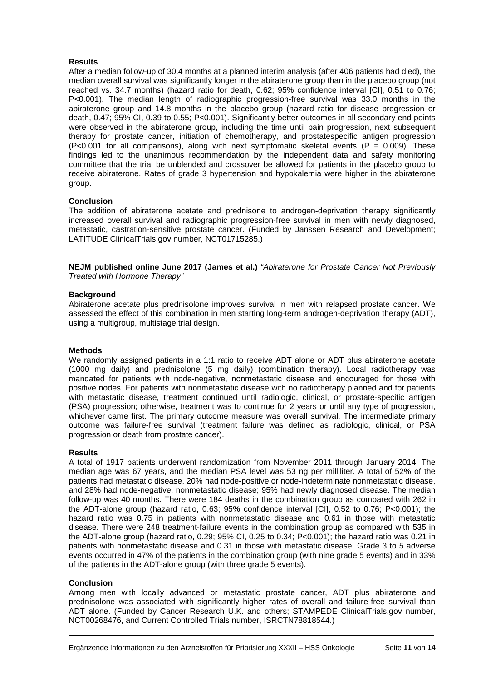#### **Results**

After a median follow-up of 30.4 months at a planned interim analysis (after 406 patients had died), the median overall survival was significantly longer in the abiraterone group than in the placebo group (not reached vs. 34.7 months) (hazard ratio for death, 0.62; 95% confidence interval [CI], 0.51 to 0.76; P<0.001). The median length of radiographic progression-free survival was 33.0 months in the abiraterone group and 14.8 months in the placebo group (hazard ratio for disease progression or death, 0.47; 95% CI, 0.39 to 0.55; P<0.001). Significantly better outcomes in all secondary end points were observed in the abiraterone group, including the time until pain progression, next subsequent therapy for prostate cancer, initiation of chemotherapy, and prostatespecific antigen progression (P<0.001 for all comparisons), along with next symptomatic skeletal events (P =  $0.009$ ). These findings led to the unanimous recommendation by the independent data and safety monitoring committee that the trial be unblended and crossover be allowed for patients in the placebo group to receive abiraterone. Rates of grade 3 hypertension and hypokalemia were higher in the abiraterone group.

#### **Conclusion**

The addition of abiraterone acetate and prednisone to androgen-deprivation therapy significantly increased overall survival and radiographic progression-free survival in men with newly diagnosed, metastatic, castration-sensitive prostate cancer. (Funded by Janssen Research and Development; LATITUDE ClinicalTrials.gov number, NCT01715285.)

**NEJM published online June 2017 (James et al.)** "Abiraterone for Prostate Cancer Not Previously Treated with Hormone Therapy"

#### **Background**

Abiraterone acetate plus prednisolone improves survival in men with relapsed prostate cancer. We assessed the effect of this combination in men starting long-term androgen-deprivation therapy (ADT), using a multigroup, multistage trial design.

#### **Methods**

We randomly assigned patients in a 1:1 ratio to receive ADT alone or ADT plus abiraterone acetate (1000 mg daily) and prednisolone (5 mg daily) (combination therapy). Local radiotherapy was mandated for patients with node-negative, nonmetastatic disease and encouraged for those with positive nodes. For patients with nonmetastatic disease with no radiotherapy planned and for patients with metastatic disease, treatment continued until radiologic, clinical, or prostate-specific antigen (PSA) progression; otherwise, treatment was to continue for 2 years or until any type of progression, whichever came first. The primary outcome measure was overall survival. The intermediate primary outcome was failure-free survival (treatment failure was defined as radiologic, clinical, or PSA progression or death from prostate cancer).

#### **Results**

A total of 1917 patients underwent randomization from November 2011 through January 2014. The median age was 67 years, and the median PSA level was 53 ng per milliliter. A total of 52% of the patients had metastatic disease, 20% had node-positive or node-indeterminate nonmetastatic disease, and 28% had node-negative, nonmetastatic disease; 95% had newly diagnosed disease. The median follow-up was 40 months. There were 184 deaths in the combination group as compared with 262 in the ADT-alone group (hazard ratio, 0.63; 95% confidence interval [CI], 0.52 to 0.76; P<0.001); the hazard ratio was 0.75 in patients with nonmetastatic disease and 0.61 in those with metastatic disease. There were 248 treatment-failure events in the combination group as compared with 535 in the ADT-alone group (hazard ratio, 0.29; 95% CI, 0.25 to 0.34; P<0.001); the hazard ratio was 0.21 in patients with nonmetastatic disease and 0.31 in those with metastatic disease. Grade 3 to 5 adverse events occurred in 47% of the patients in the combination group (with nine grade 5 events) and in 33% of the patients in the ADT-alone group (with three grade 5 events).

#### **Conclusion**

Among men with locally advanced or metastatic prostate cancer, ADT plus abiraterone and prednisolone was associated with significantly higher rates of overall and failure-free survival than ADT alone. (Funded by Cancer Research U.K. and others; STAMPEDE ClinicalTrials.gov number, NCT00268476, and Current Controlled Trials number, ISRCTN78818544.)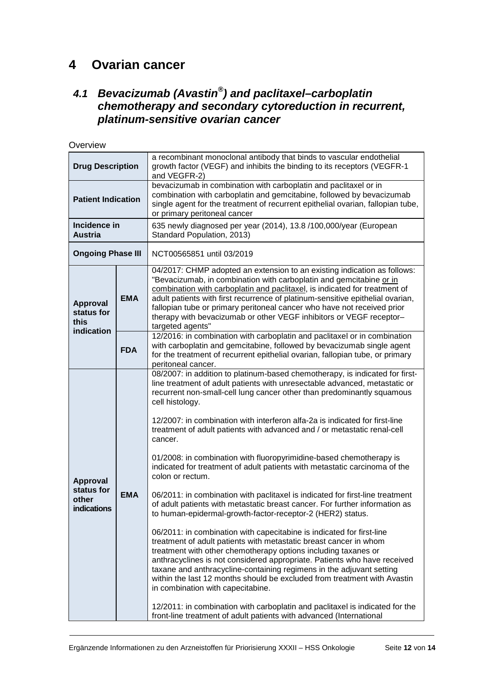# **4 Ovarian cancer**

### **4.1 Bevacizumab (Avastin® ) and paclitaxel–carboplatin chemotherapy and secondary cytoreduction in recurrent, platinum-sensitive ovarian cancer**

| Overview                                              |            |                                                                                                                                                                                                                                                                                                                                                                                                                                                                                                                                                                                                                                                                                                                                                                                                                                                                                                                                                                                                                                                                                                                                                                                                                                                                                                                                                                                                                                                                                  |
|-------------------------------------------------------|------------|----------------------------------------------------------------------------------------------------------------------------------------------------------------------------------------------------------------------------------------------------------------------------------------------------------------------------------------------------------------------------------------------------------------------------------------------------------------------------------------------------------------------------------------------------------------------------------------------------------------------------------------------------------------------------------------------------------------------------------------------------------------------------------------------------------------------------------------------------------------------------------------------------------------------------------------------------------------------------------------------------------------------------------------------------------------------------------------------------------------------------------------------------------------------------------------------------------------------------------------------------------------------------------------------------------------------------------------------------------------------------------------------------------------------------------------------------------------------------------|
| <b>Drug Description</b>                               |            | a recombinant monoclonal antibody that binds to vascular endothelial<br>growth factor (VEGF) and inhibits the binding to its receptors (VEGFR-1<br>and VEGFR-2)                                                                                                                                                                                                                                                                                                                                                                                                                                                                                                                                                                                                                                                                                                                                                                                                                                                                                                                                                                                                                                                                                                                                                                                                                                                                                                                  |
| <b>Patient Indication</b>                             |            | bevacizumab in combination with carboplatin and paclitaxel or in<br>combination with carboplatin and gemcitabine, followed by bevacizumab<br>single agent for the treatment of recurrent epithelial ovarian, fallopian tube,<br>or primary peritoneal cancer                                                                                                                                                                                                                                                                                                                                                                                                                                                                                                                                                                                                                                                                                                                                                                                                                                                                                                                                                                                                                                                                                                                                                                                                                     |
| Incidence in<br><b>Austria</b>                        |            | 635 newly diagnosed per year (2014), 13.8/100,000/year (European<br>Standard Population, 2013)                                                                                                                                                                                                                                                                                                                                                                                                                                                                                                                                                                                                                                                                                                                                                                                                                                                                                                                                                                                                                                                                                                                                                                                                                                                                                                                                                                                   |
| <b>Ongoing Phase III</b>                              |            | NCT00565851 until 03/2019                                                                                                                                                                                                                                                                                                                                                                                                                                                                                                                                                                                                                                                                                                                                                                                                                                                                                                                                                                                                                                                                                                                                                                                                                                                                                                                                                                                                                                                        |
| Approval<br>status for<br>this                        | <b>EMA</b> | 04/2017: CHMP adopted an extension to an existing indication as follows:<br>"Bevacizumab, in combination with carboplatin and gemcitabine or in<br>combination with carboplatin and paclitaxel, is indicated for treatment of<br>adult patients with first recurrence of platinum-sensitive epithelial ovarian,<br>fallopian tube or primary peritoneal cancer who have not received prior<br>therapy with bevacizumab or other VEGF inhibitors or VEGF receptor-<br>targeted agents"                                                                                                                                                                                                                                                                                                                                                                                                                                                                                                                                                                                                                                                                                                                                                                                                                                                                                                                                                                                            |
| indication                                            | <b>FDA</b> | 12/2016: in combination with carboplatin and paclitaxel or in combination<br>with carboplatin and gemcitabine, followed by bevacizumab single agent<br>for the treatment of recurrent epithelial ovarian, fallopian tube, or primary<br>peritoneal cancer.                                                                                                                                                                                                                                                                                                                                                                                                                                                                                                                                                                                                                                                                                                                                                                                                                                                                                                                                                                                                                                                                                                                                                                                                                       |
| Approval<br>status for<br>other<br><b>indications</b> | <b>EMA</b> | 08/2007: in addition to platinum-based chemotherapy, is indicated for first-<br>line treatment of adult patients with unresectable advanced, metastatic or<br>recurrent non-small-cell lung cancer other than predominantly squamous<br>cell histology.<br>12/2007: in combination with interferon alfa-2a is indicated for first-line<br>treatment of adult patients with advanced and / or metastatic renal-cell<br>cancer.<br>01/2008: in combination with fluoropyrimidine-based chemotherapy is<br>indicated for treatment of adult patients with metastatic carcinoma of the<br>colon or rectum.<br>06/2011: in combination with paclitaxel is indicated for first-line treatment<br>of adult patients with metastatic breast cancer. For further information as<br>to human-epidermal-growth-factor-receptor-2 (HER2) status.<br>06/2011: in combination with capecitabine is indicated for first-line<br>treatment of adult patients with metastatic breast cancer in whom<br>treatment with other chemotherapy options including taxanes or<br>anthracyclines is not considered appropriate. Patients who have received<br>taxane and anthracycline-containing regimens in the adjuvant setting<br>within the last 12 months should be excluded from treatment with Avastin<br>in combination with capecitabine.<br>12/2011: in combination with carboplatin and paclitaxel is indicated for the<br>front-line treatment of adult patients with advanced (International |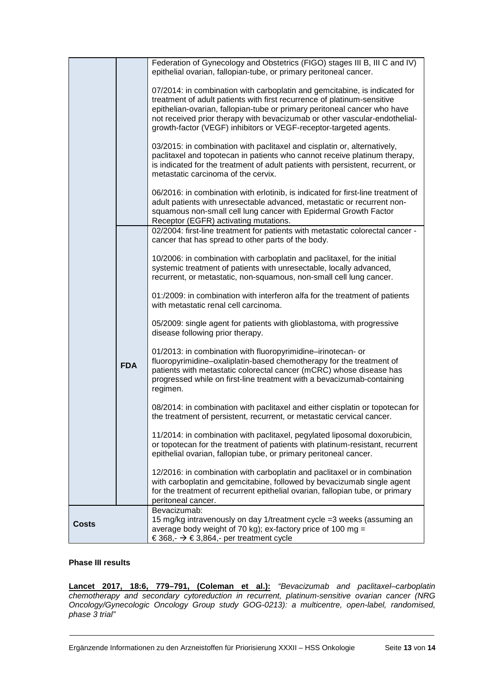|              |            | Federation of Gynecology and Obstetrics (FIGO) stages III B, III C and IV)<br>epithelial ovarian, fallopian-tube, or primary peritoneal cancer.                                                                                                                                                                                                                                      |
|--------------|------------|--------------------------------------------------------------------------------------------------------------------------------------------------------------------------------------------------------------------------------------------------------------------------------------------------------------------------------------------------------------------------------------|
|              |            | 07/2014: in combination with carboplatin and gemcitabine, is indicated for<br>treatment of adult patients with first recurrence of platinum-sensitive<br>epithelian-ovarian, fallopian-tube or primary peritoneal cancer who have<br>not received prior therapy with bevacizumab or other vascular-endothelial-<br>growth-factor (VEGF) inhibitors or VEGF-receptor-targeted agents. |
|              |            | 03/2015: in combination with paclitaxel and cisplatin or, alternatively,<br>paclitaxel and topotecan in patients who cannot receive platinum therapy,<br>is indicated for the treatment of adult patients with persistent, recurrent, or<br>metastatic carcinoma of the cervix.                                                                                                      |
|              |            | 06/2016: in combination with erlotinib, is indicated for first-line treatment of<br>adult patients with unresectable advanced, metastatic or recurrent non-<br>squamous non-small cell lung cancer with Epidermal Growth Factor<br>Receptor (EGFR) activating mutations.                                                                                                             |
|              |            | 02/2004: first-line treatment for patients with metastatic colorectal cancer -<br>cancer that has spread to other parts of the body.                                                                                                                                                                                                                                                 |
|              |            | 10/2006: in combination with carboplatin and paclitaxel, for the initial<br>systemic treatment of patients with unresectable, locally advanced,<br>recurrent, or metastatic, non-squamous, non-small cell lung cancer.                                                                                                                                                               |
|              |            | 01:/2009: in combination with interferon alfa for the treatment of patients<br>with metastatic renal cell carcinoma.                                                                                                                                                                                                                                                                 |
|              |            | 05/2009: single agent for patients with glioblastoma, with progressive<br>disease following prior therapy.                                                                                                                                                                                                                                                                           |
|              | <b>FDA</b> | 01/2013: in combination with fluoropyrimidine-irinotecan- or<br>fluoropyrimidine-oxaliplatin-based chemotherapy for the treatment of<br>patients with metastatic colorectal cancer (mCRC) whose disease has<br>progressed while on first-line treatment with a bevacizumab-containing<br>regimen.                                                                                    |
|              |            | 08/2014: in combination with paclitaxel and either cisplatin or topotecan for<br>the treatment of persistent, recurrent, or metastatic cervical cancer.                                                                                                                                                                                                                              |
|              |            | 11/2014: in combination with paclitaxel, pegylated liposomal doxorubicin,<br>or topotecan for the treatment of patients with platinum-resistant, recurrent<br>epithelial ovarian, fallopian tube, or primary peritoneal cancer.                                                                                                                                                      |
|              |            | 12/2016: in combination with carboplatin and paclitaxel or in combination<br>with carboplatin and gemcitabine, followed by bevacizumab single agent<br>for the treatment of recurrent epithelial ovarian, fallopian tube, or primary<br>peritoneal cancer.                                                                                                                           |
| <b>Costs</b> |            | Bevacizumab:<br>15 mg/kg intravenously on day 1/treatment cycle = 3 weeks (assuming an<br>average body weight of 70 kg); ex-factory price of 100 mg =<br>€ 368,- $\rightarrow$ € 3,864,- per treatment cycle                                                                                                                                                                         |

#### **Phase III results**

**Lancet 2017, 18:6, 779–791, (Coleman et al.):** "Bevacizumab and paclitaxel–carboplatin chemotherapy and secondary cytoreduction in recurrent, platinum-sensitive ovarian cancer (NRG Oncology/Gynecologic Oncology Group study GOG-0213): a multicentre, open-label, randomised, phase 3 trial"